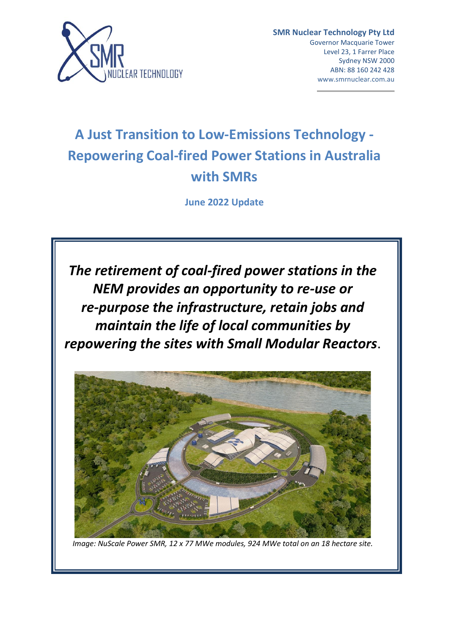

# **A Just Transition to Low-Emissions Technology - Repowering Coal-fired Power Stations in Australia with SMRs**

**June 2022 Update**

*The retirement of coal-fired power stations in the NEM provides an opportunity to re-use or re-purpose the infrastructure, retain jobs and maintain the life of local communities by repowering the sites with Small Modular Reactors*.



*Image: NuScale Power SMR, 12 x 77 MWe modules, 924 MWe total on an 18 hectare site.*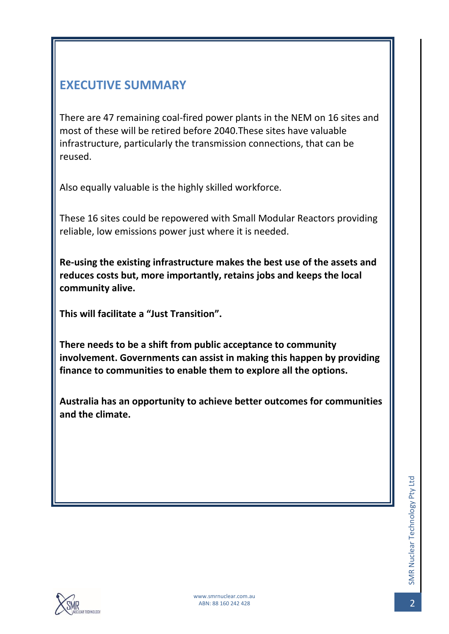# <span id="page-1-0"></span>**EXECUTIVE SUMMARY**

There are 47 remaining coal-fired power plants in the NEM on 16 sites and most of these will be retired before 2040.These sites have valuable infrastructure, particularly the transmission connections, that can be reused.

Also equally valuable is the highly skilled workforce.

These 16 sites could be repowered with Small Modular Reactors providing reliable, low emissions power just where it is needed.

**Re-using the existing infrastructure makes the best use of the assets and reduces costs but, more importantly, retains jobs and keeps the local community alive.**

**This will facilitate a "Just Transition".**

**There needs to be a shift from public acceptance to community involvement. Governments can assist in making this happen by providing finance to communities to enable them to explore all the options.**

**Australia has an opportunity to achieve better outcomes for communities and the climate.**

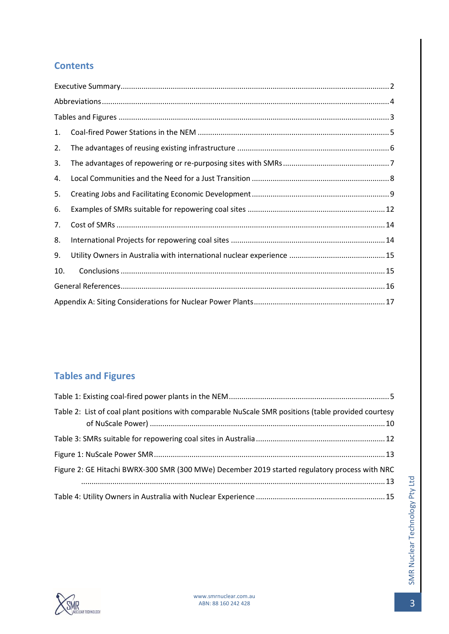# **Contents**

| 1.  |  |  |  |  |  |
|-----|--|--|--|--|--|
| 2.  |  |  |  |  |  |
| 3.  |  |  |  |  |  |
| 4.  |  |  |  |  |  |
| 5.  |  |  |  |  |  |
| 6.  |  |  |  |  |  |
| 7.  |  |  |  |  |  |
| 8.  |  |  |  |  |  |
| 9.  |  |  |  |  |  |
| 10. |  |  |  |  |  |
|     |  |  |  |  |  |
|     |  |  |  |  |  |

# <span id="page-2-0"></span>**Tables and Figures**

| Table 2: List of coal plant positions with comparable NuScale SMR positions (table provided courtesy |  |
|------------------------------------------------------------------------------------------------------|--|
|                                                                                                      |  |
|                                                                                                      |  |
| Figure 2: GE Hitachi BWRX-300 SMR (300 MWe) December 2019 started regulatory process with NRC        |  |
|                                                                                                      |  |

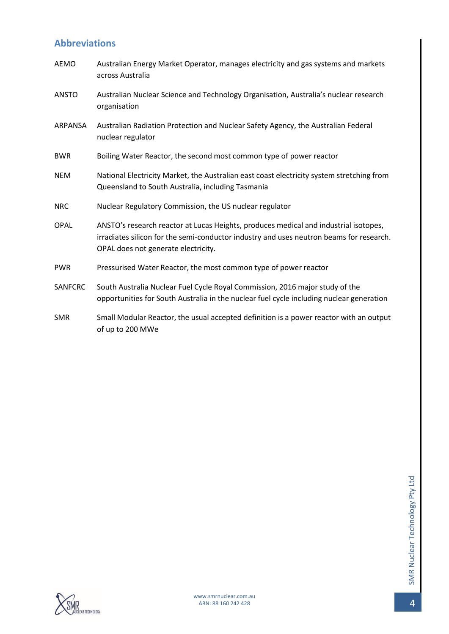# <span id="page-3-0"></span>**Abbreviations**

| AEMO           | Australian Energy Market Operator, manages electricity and gas systems and markets<br>across Australia                                                                                                                 |
|----------------|------------------------------------------------------------------------------------------------------------------------------------------------------------------------------------------------------------------------|
| <b>ANSTO</b>   | Australian Nuclear Science and Technology Organisation, Australia's nuclear research<br>organisation                                                                                                                   |
| <b>ARPANSA</b> | Australian Radiation Protection and Nuclear Safety Agency, the Australian Federal<br>nuclear regulator                                                                                                                 |
| <b>BWR</b>     | Boiling Water Reactor, the second most common type of power reactor                                                                                                                                                    |
| <b>NEM</b>     | National Electricity Market, the Australian east coast electricity system stretching from<br>Queensland to South Australia, including Tasmania                                                                         |
| <b>NRC</b>     | Nuclear Regulatory Commission, the US nuclear regulator                                                                                                                                                                |
| <b>OPAL</b>    | ANSTO's research reactor at Lucas Heights, produces medical and industrial isotopes,<br>irradiates silicon for the semi-conductor industry and uses neutron beams for research.<br>OPAL does not generate electricity. |
| <b>PWR</b>     | Pressurised Water Reactor, the most common type of power reactor                                                                                                                                                       |
| <b>SANFCRC</b> | South Australia Nuclear Fuel Cycle Royal Commission, 2016 major study of the<br>opportunities for South Australia in the nuclear fuel cycle including nuclear generation                                               |
| <b>SMR</b>     | Small Modular Reactor, the usual accepted definition is a power reactor with an output<br>of up to 200 MWe                                                                                                             |

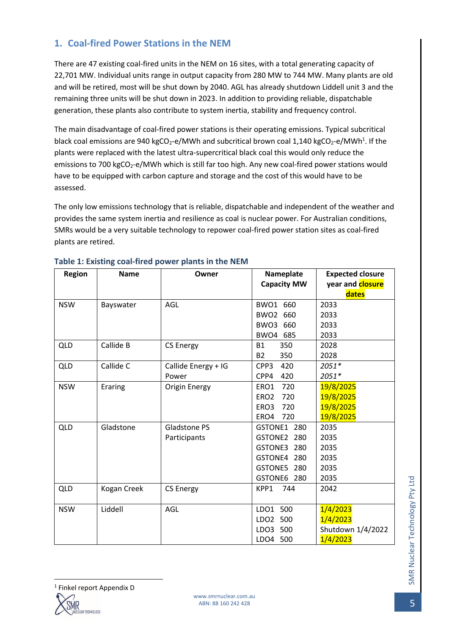# <span id="page-4-0"></span>**1. Coal-fired Power Stations in the NEM**

There are 47 existing coal-fired units in the NEM on 16 sites, with a total generating capacity of 22,701 MW. Individual units range in output capacity from 280 MW to 744 MW. Many plants are old and will be retired, most will be shut down by 2040. AGL has already shutdown Liddell unit 3 and the remaining three units will be shut down in 2023. In addition to providing reliable, dispatchable generation, these plants also contribute to system inertia, stability and frequency control.

The main disadvantage of coal-fired power stations is their operating emissions. Typical subcritical black coal emissions are 940 kgCO<sub>2</sub>-e/MWh and subcritical brown coal 1,140 kgCO<sub>2</sub>-e/MWh<sup>1</sup>. If the plants were replaced with the latest ultra-supercritical black coal this would only reduce the emissions to 700 kgCO<sub>2</sub>-e/MWh which is still far too high. Any new coal-fired power stations would have to be equipped with carbon capture and storage and the cost of this would have to be assessed.

The only low emissions technology that is reliable, dispatchable and independent of the weather and provides the same system inertia and resilience as coal is nuclear power. For Australian conditions, SMRs would be a very suitable technology to repower coal-fired power station sites as coal-fired plants are retired.

| Region     | <b>Name</b> | Owner                | Nameplate<br><b>Capacity MW</b> | <b>Expected closure</b><br>year and <b>closure</b> |
|------------|-------------|----------------------|---------------------------------|----------------------------------------------------|
|            |             |                      |                                 | dates                                              |
| <b>NSW</b> | Bayswater   | AGL                  | BWO1 660                        | 2033                                               |
|            |             |                      | BWO <sub>2</sub><br>660         | 2033                                               |
|            |             |                      | BWO3 660                        | 2033                                               |
|            |             |                      | BWO4<br>685                     | 2033                                               |
| QLD        | Callide B   | <b>CS Energy</b>     | <b>B1</b><br>350                | 2028                                               |
|            |             |                      | <b>B2</b><br>350                | 2028                                               |
| QLD        | Callide C   | Callide Energy + IG  | CPP3<br>420                     | 2051*                                              |
|            |             | Power                | CPP4<br>420                     | 2051*                                              |
| <b>NSW</b> | Eraring     | <b>Origin Energy</b> | 720<br>ERO1                     | 19/8/2025                                          |
|            |             |                      | 720<br>ERO <sub>2</sub>         | 19/8/2025                                          |
|            |             |                      | 720<br>ERO <sub>3</sub>         | 19/8/2025                                          |
|            |             |                      | ERO4<br>720                     | 19/8/2025                                          |
| <b>QLD</b> | Gladstone   | Gladstone PS         | GSTONE1 280                     | 2035                                               |
|            |             | Participants         | GSTONE2<br>280                  | 2035                                               |
|            |             |                      | GSTONE3<br>280                  | 2035                                               |
|            |             |                      | GSTONE4 280                     | 2035                                               |
|            |             |                      | GSTONE5<br>280                  | 2035                                               |
|            |             |                      | GSTONE6 280                     | 2035                                               |
| QLD        | Kogan Creek | <b>CS Energy</b>     | KPP1<br>744                     | 2042                                               |
|            |             |                      |                                 |                                                    |
| <b>NSW</b> | Liddell     | AGL                  | LDO1 500                        | 1/4/2023                                           |
|            |             |                      | 500<br>LDO <sub>2</sub>         | 1/4/2023                                           |
|            |             |                      | LDO3<br>500                     | Shutdown 1/4/2022                                  |
|            |             |                      | LDO4 500                        | 1/4/2023                                           |

#### <span id="page-4-1"></span>**Table 1: Existing coal-fired power plants in the NEM**

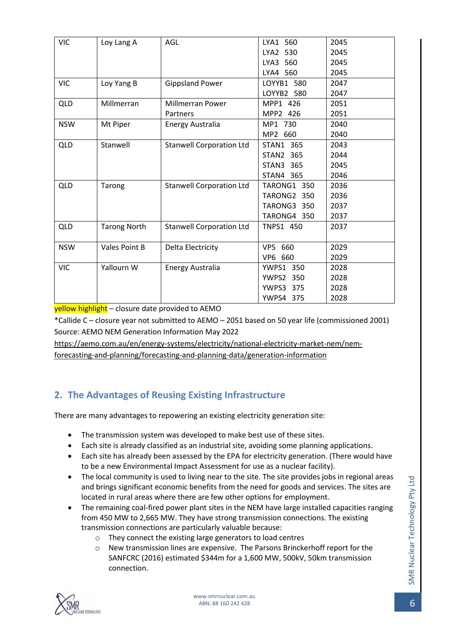| <b>VIC</b> | Loy Lang A          | AGL                             | LYA1 560           | 2045 |
|------------|---------------------|---------------------------------|--------------------|------|
|            |                     |                                 | LYA2 530           | 2045 |
|            |                     |                                 | LYA3 560           | 2045 |
|            |                     |                                 | LYA4 560           | 2045 |
| <b>VIC</b> | Loy Yang B          | <b>Gippsland Power</b>          | LOYYB1 580         | 2047 |
|            |                     |                                 | LOYYB2 580         | 2047 |
| <b>QLD</b> | Millmerran          | <b>Millmerran Power</b>         | MPP1 426           | 2051 |
|            |                     | Partners                        | MPP2 426           | 2051 |
| <b>NSW</b> | Mt Piper            | <b>Energy Australia</b>         | MP1 730            | 2040 |
|            |                     |                                 | MP2 660            | 2040 |
| <b>QLD</b> | Stanwell            | <b>Stanwell Corporation Ltd</b> | STAN1 365          | 2043 |
|            |                     |                                 | <b>STAN2 365</b>   | 2044 |
|            |                     |                                 | STAN3 365          | 2045 |
|            |                     |                                 | STAN4 365          | 2046 |
| <b>QLD</b> | Tarong              | <b>Stanwell Corporation Ltd</b> | <b>TARONG1 350</b> | 2036 |
|            |                     |                                 | TARONG2 350        | 2036 |
|            |                     |                                 | TARONG3 350        | 2037 |
|            |                     |                                 | TARONG4 350        | 2037 |
| <b>QLD</b> | <b>Tarong North</b> | <b>Stanwell Corporation Ltd</b> | TNPS1 450          | 2037 |
|            |                     |                                 |                    |      |
| <b>NSW</b> | Vales Point B       | Delta Electricity               | VP5 660            | 2029 |
|            |                     |                                 | VP6 660            | 2029 |
| <b>VIC</b> | Yallourn W          | <b>Energy Australia</b>         | <b>YWPS1 350</b>   | 2028 |
|            |                     |                                 | <b>YWPS2 350</b>   | 2028 |
|            |                     |                                 | YWPS3<br>375       | 2028 |
|            |                     |                                 | <b>YWPS4 375</b>   | 2028 |

yellow highlight – closure date provided to AEMO

\*Callide C – closure year not submitted to AEMO – 2051 based on 50 year life (commissioned 2001) Source: AEMO NEM Generation Information May 2022

[https://aemo.com.au/en/energy-systems/electricity/national-electricity-market-nem/nem](https://aemo.com.au/en/energy-systems/electricity/national-electricity-market-nem/nem-forecasting-and-planning/forecasting-and-planning-data/generation-information)[forecasting-and-planning/forecasting-and-planning-data/generation-information](https://aemo.com.au/en/energy-systems/electricity/national-electricity-market-nem/nem-forecasting-and-planning/forecasting-and-planning-data/generation-information)

# <span id="page-5-0"></span>**2. The Advantages of Reusing Existing Infrastructure**

There are many advantages to repowering an existing electricity generation site:

- The transmission system was developed to make best use of these sites.
- Each site is already classified as an industrial site, avoiding some planning applications.
- Each site has already been assessed by the EPA for electricity generation. (There would have to be a new Environmental Impact Assessment for use as a nuclear facility).
- The local community is used to living near to the site. The site provides jobs in regional areas and brings significant economic benefits from the need for goods and services. The sites are located in rural areas where there are few other options for employment.
- The remaining coal-fired power plant sites in the NEM have large installed capacities ranging from 450 MW to 2,665 MW. They have strong transmission connections. The existing transmission connections are particularly valuable because:
	- o They connect the existing large generators to load centres
	- o New transmission lines are expensive. The Parsons Brinckerhoff report for the SANFCRC (2016) estimated \$344m for a 1,600 MW, 500kV, 50km transmission connection.

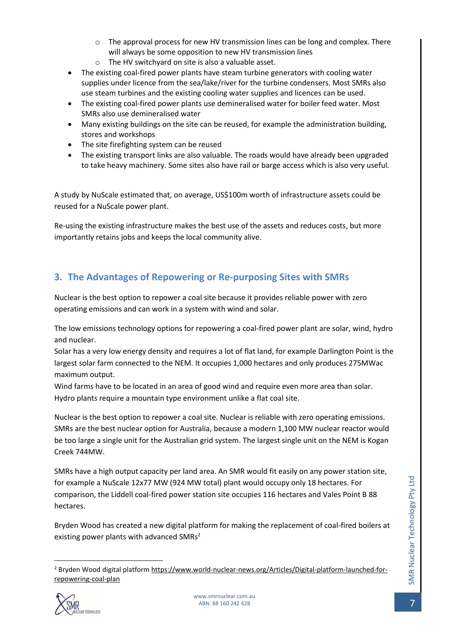- $\circ$  The approval process for new HV transmission lines can be long and complex. There will always be some opposition to new HV transmission lines
- o The HV switchyard on site is also a valuable asset.
- The existing coal-fired power plants have steam turbine generators with cooling water supplies under licence from the sea/lake/river for the turbine condensers. Most SMRs also use steam turbines and the existing cooling water supplies and licences can be used.
- The existing coal-fired power plants use demineralised water for boiler feed water. Most SMRs also use demineralised water
- Many existing buildings on the site can be reused, for example the administration building, stores and workshops
- The site firefighting system can be reused
- The existing transport links are also valuable. The roads would have already been upgraded to take heavy machinery. Some sites also have rail or barge access which is also very useful.

A study by NuScale estimated that, on average, US\$100m worth of infrastructure assets could be reused for a NuScale power plant.

Re-using the existing infrastructure makes the best use of the assets and reduces costs, but more importantly retains jobs and keeps the local community alive.

# <span id="page-6-0"></span>**3. The Advantages of Repowering or Re-purposing Sites with SMRs**

Nuclear is the best option to repower a coal site because it provides reliable power with zero operating emissions and can work in a system with wind and solar.

The low emissions technology options for repowering a coal-fired power plant are solar, wind, hydro and nuclear.

Solar has a very low energy density and requires a lot of flat land, for example Darlington Point is the largest solar farm connected to the NEM. It occupies 1,000 hectares and only produces 275MWac maximum output.

Wind farms have to be located in an area of good wind and require even more area than solar. Hydro plants require a mountain type environment unlike a flat coal site.

Nuclear is the best option to repower a coal site. Nuclear is reliable with zero operating emissions. SMRs are the best nuclear option for Australia, because a modern 1,100 MW nuclear reactor would be too large a single unit for the Australian grid system. The largest single unit on the NEM is Kogan Creek 744MW.

SMRs have a high output capacity per land area. An SMR would fit easily on any power station site, for example a NuScale 12x77 MW (924 MW total) plant would occupy only 18 hectares. For comparison, the Liddell coal-fired power station site occupies 116 hectares and Vales Point B 88 hectares.

Bryden Wood has created a new digital platform for making the replacement of coal-fired boilers at existing power plants with advanced SMRs<sup>2</sup>

<sup>2</sup> Bryden Wood digital platfor[m https://www.world-nuclear-news.org/Articles/Digital-platform-launched-for](https://www.world-nuclear-news.org/Articles/Digital-platform-launched-for-repowering-coal-plan)[repowering-coal-plan](https://www.world-nuclear-news.org/Articles/Digital-platform-launched-for-repowering-coal-plan)

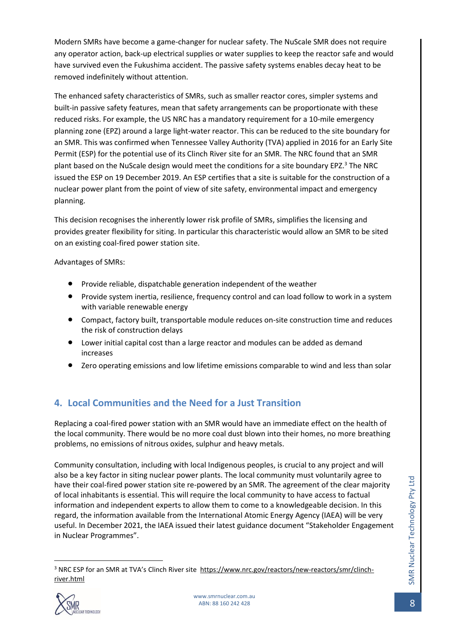Modern SMRs have become a game-changer for nuclear safety. The NuScale SMR does not require any operator action, back-up electrical supplies or water supplies to keep the reactor safe and would have survived even the Fukushima accident. The passive safety systems enables decay heat to be removed indefinitely without attention.

The enhanced safety characteristics of SMRs, such as smaller reactor cores, simpler systems and built-in passive safety features, mean that safety arrangements can be proportionate with these reduced risks. For example, the US NRC has a mandatory requirement for a 10-mile emergency planning zone (EPZ) around a large light-water reactor. This can be reduced to the site boundary for an SMR. This was confirmed when Tennessee Valley Authority (TVA) applied in 2016 for an Early Site Permit (ESP) for the potential use of its Clinch River site for an SMR. The NRC found that an SMR plant based on the NuScale design would meet the conditions for a site boundary EPZ.<sup>3</sup> The NRC issued the ESP on 19 December 2019. An ESP certifies that a site is suitable for the construction of a nuclear power plant from the point of view of site safety, environmental impact and emergency planning.

This decision recognises the inherently lower risk profile of SMRs, simplifies the licensing and provides greater flexibility for siting. In particular this characteristic would allow an SMR to be sited on an existing coal-fired power station site.

Advantages of SMRs:

- Provide reliable, dispatchable generation independent of the weather
- Provide system inertia, resilience, frequency control and can load follow to work in a system with variable renewable energy
- Compact, factory built, transportable module reduces on-site construction time and reduces the risk of construction delays
- Lower initial capital cost than a large reactor and modules can be added as demand increases
- Zero operating emissions and low lifetime emissions comparable to wind and less than solar

# <span id="page-7-0"></span>**4. Local Communities and the Need for a Just Transition**

Replacing a coal-fired power station with an SMR would have an immediate effect on the health of the local community. There would be no more coal dust blown into their homes, no more breathing problems, no emissions of nitrous oxides, sulphur and heavy metals.

Community consultation, including with local Indigenous peoples, is crucial to any project and will also be a key factor in siting nuclear power plants. The local community must voluntarily agree to have their coal-fired power station site re-powered by an SMR. The agreement of the clear majority of local inhabitants is essential. This will require the local community to have access to factual information and independent experts to allow them to come to a knowledgeable decision. In this regard, the information available from the International Atomic Energy Agency (IAEA) will be very useful. In December 2021, the IAEA issued their latest guidance document "Stakeholder Engagement in Nuclear Programmes".

<sup>&</sup>lt;sup>3</sup> NRC ESP for an SMR at TVA's Clinch River site [https://www.nrc.gov/reactors/new-reactors/smr/clinch](https://www.nrc.gov/reactors/new-reactors/smr/clinch-river.html)[river.html](https://www.nrc.gov/reactors/new-reactors/smr/clinch-river.html)

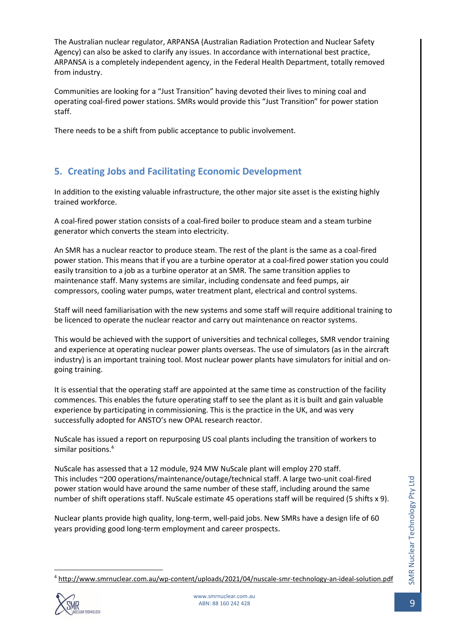The Australian nuclear regulator, ARPANSA (Australian Radiation Protection and Nuclear Safety Agency) can also be asked to clarify any issues. In accordance with international best practice, ARPANSA is a completely independent agency, in the Federal Health Department, totally removed from industry.

Communities are looking for a "Just Transition" having devoted their lives to mining coal and operating coal-fired power stations. SMRs would provide this "Just Transition" for power station staff.

There needs to be a shift from public acceptance to public involvement.

### <span id="page-8-0"></span>**5. Creating Jobs and Facilitating Economic Development**

In addition to the existing valuable infrastructure, the other major site asset is the existing highly trained workforce.

A coal-fired power station consists of a coal-fired boiler to produce steam and a steam turbine generator which converts the steam into electricity.

An SMR has a nuclear reactor to produce steam. The rest of the plant is the same as a coal-fired power station. This means that if you are a turbine operator at a coal-fired power station you could easily transition to a job as a turbine operator at an SMR. The same transition applies to maintenance staff. Many systems are similar, including condensate and feed pumps, air compressors, cooling water pumps, water treatment plant, electrical and control systems.

Staff will need familiarisation with the new systems and some staff will require additional training to be licenced to operate the nuclear reactor and carry out maintenance on reactor systems.

This would be achieved with the support of universities and technical colleges, SMR vendor training and experience at operating nuclear power plants overseas. The use of simulators (as in the aircraft industry) is an important training tool. Most nuclear power plants have simulators for initial and ongoing training.

It is essential that the operating staff are appointed at the same time as construction of the facility commences. This enables the future operating staff to see the plant as it is built and gain valuable experience by participating in commissioning. This is the practice in the UK, and was very successfully adopted for ANSTO's new OPAL research reactor.

NuScale has issued a report on repurposing US coal plants including the transition of workers to similar positions.<sup>4</sup>

NuScale has assessed that a 12 module, 924 MW NuScale plant will employ 270 staff. This includes ~200 operations/maintenance/outage/technical staff. A large two-unit coal-fired power station would have around the same number of these staff, including around the same number of shift operations staff. NuScale estimate 45 operations staff will be required (5 shifts x 9).

Nuclear plants provide high quality, long-term, well-paid jobs. New SMRs have a design life of 60 years providing good long-term employment and career prospects.

<sup>4</sup> <http://www.smrnuclear.com.au/wp-content/uploads/2021/04/nuscale-smr-technology-an-ideal-solution.pdf>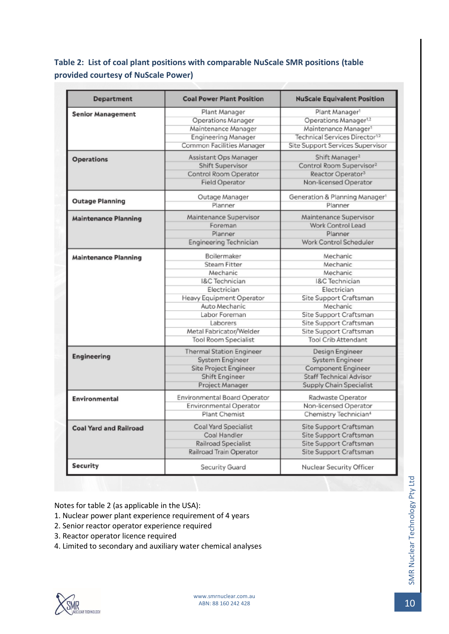### <span id="page-9-0"></span>**Table 2: List of coal plant positions with comparable NuScale SMR positions (table provided courtesy of NuScale Power)**

| <b>Department</b>             | <b>Coal Power Plant Position</b> | <b>NuScale Equivalent Position</b>            |
|-------------------------------|----------------------------------|-----------------------------------------------|
| <b>Senior Management</b>      | Plant Manager                    | Plant Manager <sup>1</sup>                    |
|                               | Operations Manager               | Operations Manager <sup>1,2</sup>             |
|                               | Maintenance Manager              | Maintenance Manager <sup>1</sup>              |
|                               | <b>Engineering Manager</b>       | Technical Services Director <sup>12</sup>     |
|                               | Common Facilities Manager        | Site Support Services Supervisor              |
| <b>Operations</b>             | Assistant Ops Manager            | Shift Manager <sup>2</sup>                    |
|                               | <b>Shift Supervisor</b>          | Control Room Supervisor <sup>2</sup>          |
|                               | Control Room Operator            | Reactor Operator <sup>3</sup>                 |
|                               | Field Operator                   | Non-licensed Operator                         |
| <b>Outage Planning</b>        | Outage Manager                   | Generation & Planning Manager <sup>1</sup>    |
|                               | Planner                          | Planner                                       |
| <b>Maintenance Planning</b>   | Maintenance Supervisor           | Maintenance Supervisor                        |
|                               | Foreman                          | Work Control Lead                             |
|                               | Planner                          | Planner                                       |
|                               | Engineering Technician           | Work Control Scheduler                        |
| <b>Maintenance Planning</b>   | Boilermaker                      | Mechanic                                      |
|                               | <b>Steam Fitter</b>              | Mechanic                                      |
|                               | Mechanic                         | Mechanic                                      |
|                               | I&C Technician                   | <b>I&amp;C</b> Technician                     |
|                               | Electrician                      | Electrician                                   |
|                               | Heavy Equipment Operator         | Site Support Craftsman                        |
|                               | Auto Mechanic                    | Mechanic                                      |
|                               | Labor Foreman                    | Site Support Craftsman                        |
|                               | Laborers                         | Site Support Craftsman                        |
|                               | Metal Fabricator/Welder          | Site Support Craftsman<br>Tool Crib Attendant |
|                               | Tool Room Specialist             |                                               |
| Engineering                   | <b>Thermal Station Engineer</b>  | Design Engineer                               |
|                               | System Engineer                  | System Engineer                               |
|                               | Site Project Engineer            | Component Engineer                            |
|                               | Shift Engineer                   | Staff Technical Advisor                       |
|                               | Project Manager                  | Supply Chain Specialist                       |
| <b>Environmental</b>          | Environmental Board Operator     | Radwaste Operator                             |
|                               | Environmental Operator           | Non-licensed Operator                         |
|                               | Plant Chemist                    | Chemistry Technician <sup>4</sup>             |
| <b>Coal Yard and Railroad</b> | <b>Coal Yard Specialist</b>      | Site Support Craftsman                        |
|                               | Coal Handler                     | Site Support Craftsman                        |
|                               | Railroad Specialist              | Site Support Craftsman                        |
|                               | Railroad Train Operator          | Site Support Craftsman                        |
| <b>Security</b>               | Security Guard                   | Nuclear Security Officer                      |

Notes for table 2 (as applicable in the USA):

- 1. Nuclear power plant experience requirement of 4 years
- 2. Senior reactor operator experience required
- 3. Reactor operator licence required
- 4. Limited to secondary and auxiliary water chemical analyses

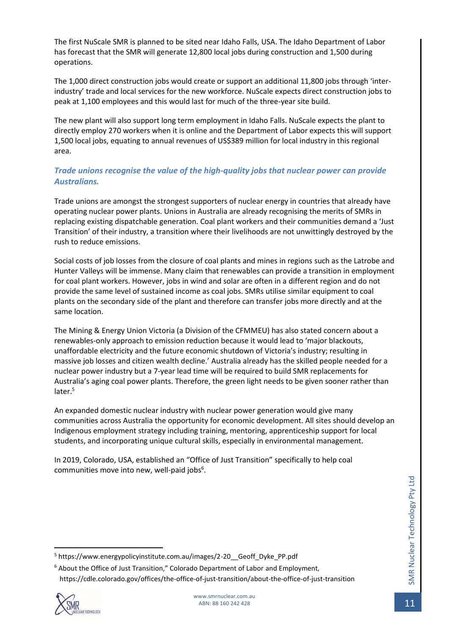The first NuScale SMR is planned to be sited near Idaho Falls, USA. The Idaho Department of Labor has forecast that the SMR will generate 12,800 local jobs during construction and 1,500 during operations.

The 1,000 direct construction jobs would create or support an additional 11,800 jobs through 'interindustry' trade and local services for the new workforce. NuScale expects direct construction jobs to peak at 1,100 employees and this would last for much of the three-year site build.

The new plant will also support long term employment in Idaho Falls. NuScale expects the plant to directly employ 270 workers when it is online and the Department of Labor expects this will support 1,500 local jobs, equating to annual revenues of US\$389 million for local industry in this regional area.

#### *Trade unions recognise the value of the high-quality jobs that nuclear power can provide Australians.*

Trade unions are amongst the strongest supporters of nuclear energy in countries that already have operating nuclear power plants. Unions in Australia are already recognising the merits of SMRs in replacing existing dispatchable generation. Coal plant workers and their communities demand a 'Just Transition' of their industry, a transition where their livelihoods are not unwittingly destroyed by the rush to reduce emissions.

Social costs of job losses from the closure of coal plants and mines in regions such as the Latrobe and Hunter Valleys will be immense. Many claim that renewables can provide a transition in employment for coal plant workers. However, jobs in wind and solar are often in a different region and do not provide the same level of sustained income as coal jobs. SMRs utilise similar equipment to coal plants on the secondary side of the plant and therefore can transfer jobs more directly and at the same location.

The Mining & Energy Union Victoria (a Division of the CFMMEU) has also stated concern about a renewables-only approach to emission reduction because it would lead to 'major blackouts, unaffordable electricity and the future economic shutdown of Victoria's industry; resulting in massive job losses and citizen wealth decline.' Australia already has the skilled people needed for a nuclear power industry but a 7-year lead time will be required to build SMR replacements for Australia's aging coal power plants. Therefore, the green light needs to be given sooner rather than later.<sup>5</sup>

An expanded domestic nuclear industry with nuclear power generation would give many communities across Australia the opportunity for economic development. All sites should develop an Indigenous employment strategy including training, mentoring, apprenticeship support for local students, and incorporating unique cultural skills, especially in environmental management.

In 2019, Colorado, USA, established an "Office of Just Transition" specifically to help coal communities move into new, well-paid jobs<sup>6</sup>.

<sup>6</sup> About the Office of Just Transition," Colorado Department of Labor and Employment, https://cdle.colorado.gov/offices/the-office-of-just-transition/about-the-office-of-just-transition



<sup>5</sup> https://www.energypolicyinstitute.com.au/images/2-20\_\_Geoff\_Dyke\_PP.pdf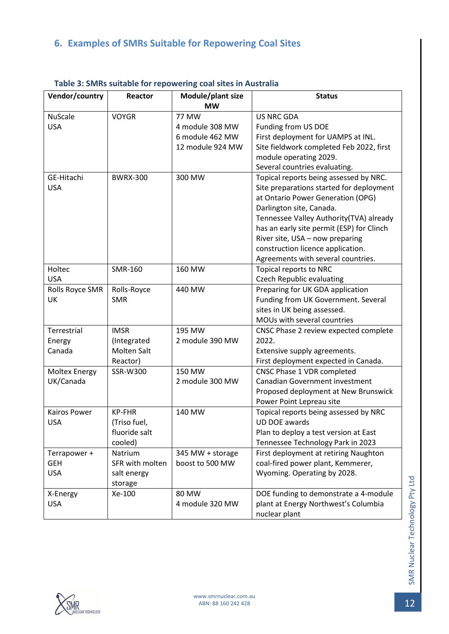# <span id="page-11-0"></span>**6. Examples of SMRs Suitable for Repowering Coal Sites**

| Vendor/country       | Reactor         | Module/plant size<br><b>MW</b> | <b>Status</b>                             |
|----------------------|-----------------|--------------------------------|-------------------------------------------|
| <b>NuScale</b>       | <b>VOYGR</b>    | <b>77 MW</b>                   | <b>US NRC GDA</b>                         |
| <b>USA</b>           |                 | 4 module 308 MW                | Funding from US DOE                       |
|                      |                 | 6 module 462 MW                | First deployment for UAMPS at INL.        |
|                      |                 | 12 module 924 MW               | Site fieldwork completed Feb 2022, first  |
|                      |                 |                                | module operating 2029.                    |
|                      |                 |                                | Several countries evaluating.             |
| GE-Hitachi           | <b>BWRX-300</b> | 300 MW                         | Topical reports being assessed by NRC.    |
| <b>USA</b>           |                 |                                | Site preparations started for deployment  |
|                      |                 |                                | at Ontario Power Generation (OPG)         |
|                      |                 |                                | Darlington site, Canada.                  |
|                      |                 |                                | Tennessee Valley Authority(TVA) already   |
|                      |                 |                                | has an early site permit (ESP) for Clinch |
|                      |                 |                                | River site, USA - now preparing           |
|                      |                 |                                | construction licence application.         |
|                      |                 |                                | Agreements with several countries.        |
| Holtec               | SMR-160         | 160 MW                         | Topical reports to NRC                    |
| <b>USA</b>           |                 |                                | <b>Czech Republic evaluating</b>          |
| Rolls Royce SMR      | Rolls-Royce     | 440 MW                         | Preparing for UK GDA application          |
| UK                   | <b>SMR</b>      |                                | Funding from UK Government. Several       |
|                      |                 |                                | sites in UK being assessed.               |
|                      |                 |                                | MOUs with several countries               |
| Terrestrial          | <b>IMSR</b>     | 195 MW                         | CNSC Phase 2 review expected complete     |
| Energy               | (Integrated     | 2 module 390 MW                | 2022.                                     |
| Canada               | Molten Salt     |                                | Extensive supply agreements.              |
|                      | Reactor)        |                                | First deployment expected in Canada.      |
| <b>Moltex Energy</b> | SSR-W300        | 150 MW                         | CNSC Phase 1 VDR completed                |
| UK/Canada            |                 | 2 module 300 MW                | <b>Canadian Government investment</b>     |
|                      |                 |                                | Proposed deployment at New Brunswick      |
|                      |                 |                                | Power Point Lepreau site                  |
| Kairos Power         | <b>KP-FHR</b>   | 140 MW                         | Topical reports being assessed by NRC     |
| <b>USA</b>           | (Triso fuel,    |                                | UD DOE awards                             |
|                      | fluoride salt   |                                | Plan to deploy a test version at East     |
|                      | cooled)         |                                | Tennessee Technology Park in 2023         |
| Terrapower +         | Natrium         | 345 MW + storage               | First deployment at retiring Naughton     |
| <b>GEH</b>           | SFR with molten | boost to 500 MW                | coal-fired power plant, Kemmerer,         |
| <b>USA</b>           | salt energy     |                                | Wyoming. Operating by 2028.               |
|                      | storage         |                                |                                           |
| X-Energy             | Xe-100          | 80 MW                          | DOE funding to demonstrate a 4-module     |
| <b>USA</b>           |                 | 4 module 320 MW                | plant at Energy Northwest's Columbia      |
|                      |                 |                                | nuclear plant                             |

#### <span id="page-11-1"></span>**Table 3: SMRs suitable for repowering coal sites in Australia**

<span id="page-11-2"></span>

SMR Nuclear Technology Pty Ltd

SMR Nuclear Technology Pty Ltd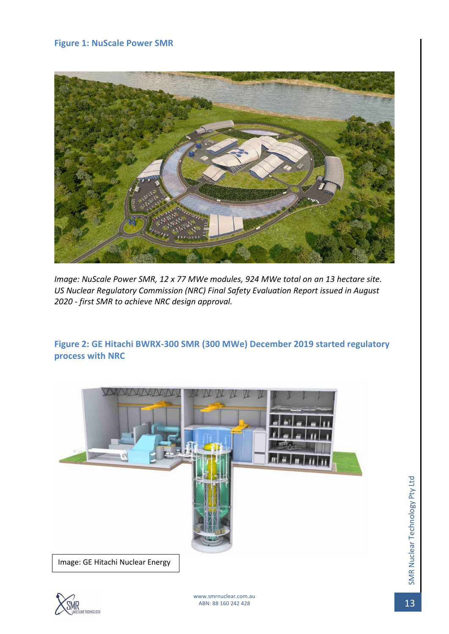#### **Figure 1: NuScale Power SMR**



*Image: NuScale Power SMR, 12 x 77 MWe modules, 924 MWe total on an 13 hectare site. US Nuclear Regulatory Commission (NRC) Final Safety Evaluation Report issued in August 2020 - first SMR to achieve NRC design approval.*

<span id="page-12-0"></span>**Figure 2: GE Hitachi BWRX-300 SMR (300 MWe) December 2019 started regulatory process with NRC**



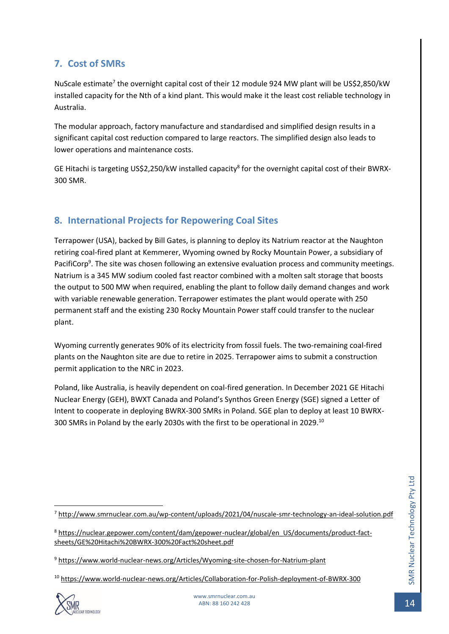### <span id="page-13-0"></span>**7. Cost of SMRs**

NuScale estimate<sup>7</sup> the overnight capital cost of their 12 module 924 MW plant will be US\$2,850/kW installed capacity for the Nth of a kind plant. This would make it the least cost reliable technology in Australia.

The modular approach, factory manufacture and standardised and simplified design results in a significant capital cost reduction compared to large reactors. The simplified design also leads to lower operations and maintenance costs.

GE Hitachi is targeting US\$2,250/kW installed capacity<sup>8</sup> for the overnight capital cost of their BWRX-300 SMR.

# <span id="page-13-1"></span>**8. International Projects for Repowering Coal Sites**

Terrapower (USA), backed by Bill Gates, is planning to deploy its Natrium reactor at the Naughton retiring coal-fired plant at Kemmerer, Wyoming owned by Rocky Mountain Power, a subsidiary of PacifiCorp<sup>9</sup>. The site was chosen following an extensive evaluation process and community meetings. Natrium is a 345 MW sodium cooled fast reactor combined with a molten salt storage that boosts the output to 500 MW when required, enabling the plant to follow daily demand changes and work with variable renewable generation. Terrapower estimates the plant would operate with 250 permanent staff and the existing 230 Rocky Mountain Power staff could transfer to the nuclear plant.

Wyoming currently generates 90% of its electricity from fossil fuels. The two-remaining coal-fired plants on the Naughton site are due to retire in 2025. Terrapower aims to submit a construction permit application to the NRC in 2023.

Poland, like Australia, is heavily dependent on coal-fired generation. In December 2021 GE Hitachi Nuclear Energy (GEH), BWXT Canada and Poland's Synthos Green Energy (SGE) signed a Letter of Intent to cooperate in deploying BWRX-300 SMRs in Poland. SGE plan to deploy at least 10 BWRX-300 SMRs in Poland by the early 2030s with the first to be operational in 2029.<sup>10</sup>

<sup>10</sup> <https://www.world-nuclear-news.org/Articles/Collaboration-for-Polish-deployment-of-BWRX-300>



<sup>7</sup> <http://www.smrnuclear.com.au/wp-content/uploads/2021/04/nuscale-smr-technology-an-ideal-solution.pdf>

<sup>8</sup> [https://nuclear.gepower.com/content/dam/gepower-nuclear/global/en\\_US/documents/product-fact](https://nuclear.gepower.com/content/dam/gepower-nuclear/global/en_US/documents/product-fact-sheets/GE%20Hitachi%20BWRX-300%20Fact%20sheet.pdf)[sheets/GE%20Hitachi%20BWRX-300%20Fact%20sheet.pdf](https://nuclear.gepower.com/content/dam/gepower-nuclear/global/en_US/documents/product-fact-sheets/GE%20Hitachi%20BWRX-300%20Fact%20sheet.pdf)

<sup>9</sup> <https://www.world-nuclear-news.org/Articles/Wyoming-site-chosen-for-Natrium-plant>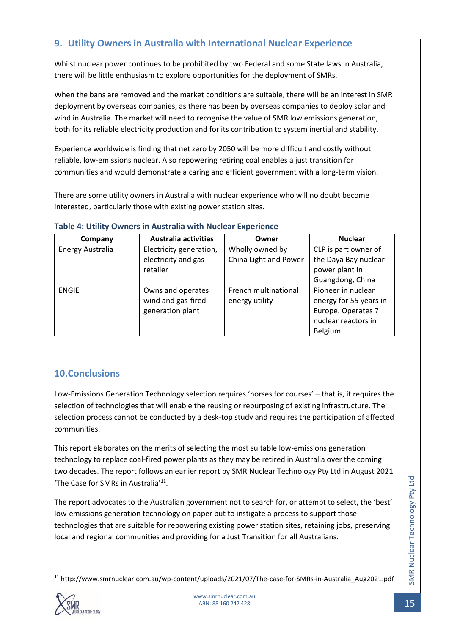# <span id="page-14-0"></span>**9. Utility Owners in Australia with International Nuclear Experience**

Whilst nuclear power continues to be prohibited by two Federal and some State laws in Australia, there will be little enthusiasm to explore opportunities for the deployment of SMRs.

When the bans are removed and the market conditions are suitable, there will be an interest in SMR deployment by overseas companies, as there has been by overseas companies to deploy solar and wind in Australia. The market will need to recognise the value of SMR low emissions generation, both for its reliable electricity production and for its contribution to system inertial and stability.

Experience worldwide is finding that net zero by 2050 will be more difficult and costly without reliable, low-emissions nuclear. Also repowering retiring coal enables a just transition for communities and would demonstrate a caring and efficient government with a long-term vision.

There are some utility owners in Australia with nuclear experience who will no doubt become interested, particularly those with existing power station sites.

| Company          | <b>Australia activities</b> | Owner                 | <b>Nuclear</b>         |
|------------------|-----------------------------|-----------------------|------------------------|
| Energy Australia | Electricity generation,     | Wholly owned by       | CLP is part owner of   |
|                  | electricity and gas         | China Light and Power | the Daya Bay nuclear   |
|                  | retailer                    |                       | power plant in         |
|                  |                             |                       | Guangdong, China       |
| <b>ENGIE</b>     | Owns and operates           | French multinational  | Pioneer in nuclear     |
|                  | wind and gas-fired          | energy utility        | energy for 55 years in |
|                  | generation plant            |                       | Europe. Operates 7     |
|                  |                             |                       | nuclear reactors in    |
|                  |                             |                       | Belgium.               |

#### <span id="page-14-2"></span>**Table 4: Utility Owners in Australia with Nuclear Experience**

#### <span id="page-14-1"></span>**10.Conclusions**

Low-Emissions Generation Technology selection requires 'horses for courses' – that is, it requires the selection of technologies that will enable the reusing or repurposing of existing infrastructure. The selection process cannot be conducted by a desk-top study and requires the participation of affected communities.

This report elaborates on the merits of selecting the most suitable low-emissions generation technology to replace coal-fired power plants as they may be retired in Australia over the coming two decades. The report follows an earlier report by SMR Nuclear Technology Pty Ltd in August 2021 'The Case for SMRs in Australia'<sup>11</sup>.

The report advocates to the Australian government not to search for, or attempt to select, the 'best' low-emissions generation technology on paper but to instigate a process to support those technologies that are suitable for repowering existing power station sites, retaining jobs, preserving local and regional communities and providing for a Just Transition for all Australians.

<sup>11</sup> [http://www.smrnuclear.com.au/wp-content/uploads/2021/07/The-case-for-SMRs-in-Australia\\_Aug2021.pdf](http://www.smrnuclear.com.au/wp-content/uploads/2021/07/The-case-for-SMRs-in-Australia_Aug2021.pdf)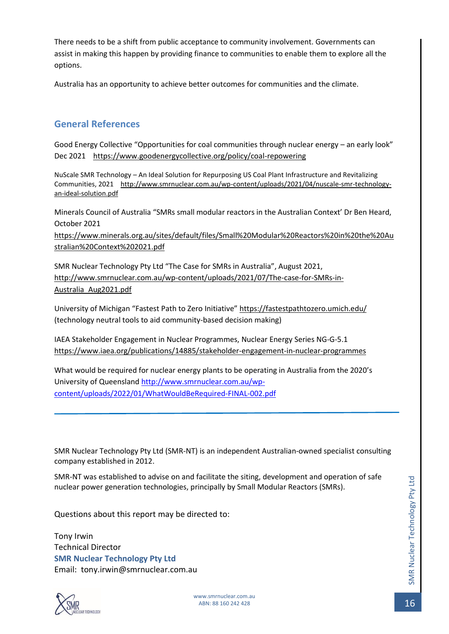There needs to be a shift from public acceptance to community involvement. Governments can assist in making this happen by providing finance to communities to enable them to explore all the options.

Australia has an opportunity to achieve better outcomes for communities and the climate.

#### <span id="page-15-0"></span>**General References**

Good Energy Collective "Opportunities for coal communities through nuclear energy – an early look" Dec 2021 <https://www.goodenergycollective.org/policy/coal-repowering>

NuScale SMR Technology – An Ideal Solution for Repurposing US Coal Plant Infrastructure and Revitalizing Communities, 2021 [http://www.smrnuclear.com.au/wp-content/uploads/2021/04/nuscale-smr-technology](http://www.smrnuclear.com.au/wp-content/uploads/2021/04/nuscale-smr-technology-an-ideal-solution.pdf)[an-ideal-solution.pdf](http://www.smrnuclear.com.au/wp-content/uploads/2021/04/nuscale-smr-technology-an-ideal-solution.pdf)

Minerals Council of Australia "SMRs small modular reactors in the Australian Context' Dr Ben Heard, October 2021

[https://www.minerals.org.au/sites/default/files/Small%20Modular%20Reactors%20in%20the%20Au](https://www.minerals.org.au/sites/default/files/Small%20Modular%20Reactors%20in%20the%20Australian%20Context%202021.pdf) [stralian%20Context%202021.pdf](https://www.minerals.org.au/sites/default/files/Small%20Modular%20Reactors%20in%20the%20Australian%20Context%202021.pdf)

SMR Nuclear Technology Pty Ltd "The Case for SMRs in Australia", August 2021, [http://www.smrnuclear.com.au/wp-content/uploads/2021/07/The-case-for-SMRs-in-](http://www.smrnuclear.com.au/wp-content/uploads/2021/07/The-case-for-SMRs-in-Australia_Aug2021.pdf)[Australia\\_Aug2021.pdf](http://www.smrnuclear.com.au/wp-content/uploads/2021/07/The-case-for-SMRs-in-Australia_Aug2021.pdf)

University of Michigan "Fastest Path to Zero Initiative" <https://fastestpathtozero.umich.edu/> (technology neutral tools to aid community-based decision making)

IAEA Stakeholder Engagement in Nuclear Programmes, Nuclear Energy Series NG-G-5.1 <https://www.iaea.org/publications/14885/stakeholder-engagement-in-nuclear-programmes>

What would be required for nuclear energy plants to be operating in Australia from the 2020's University of Queensland [http://www.smrnuclear.com.au/wp](http://www.smrnuclear.com.au/wp-content/uploads/2022/01/WhatWouldBeRequired-FINAL-002.pdf)[content/uploads/2022/01/WhatWouldBeRequired-FINAL-002.pdf](http://www.smrnuclear.com.au/wp-content/uploads/2022/01/WhatWouldBeRequired-FINAL-002.pdf)

SMR Nuclear Technology Pty Ltd (SMR-NT) is an independent Australian-owned specialist consulting company established in 2012.

SMR-NT was established to advise on and facilitate the siting, development and operation of safe nuclear power generation technologies, principally by Small Modular Reactors (SMRs).

Questions about this report may be directed to:

Tony Irwin Technical Director **SMR Nuclear Technology Pty Ltd** Email: tony.irwin@smrnuclear.com.au